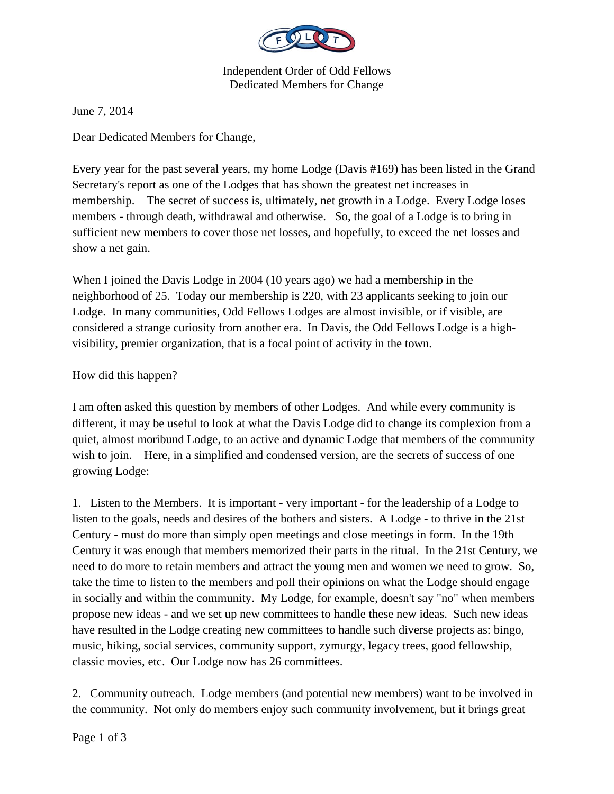

Independent Order of Odd Fellows Dedicated Members for Change

June 7, 2014

Dear Dedicated Members for Change,

Every year for the past several years, my home Lodge (Davis #169) has been listed in the Grand Secretary's report as one of the Lodges that has shown the greatest net increases in membership. The secret of success is, ultimately, net growth in a Lodge. Every Lodge loses members - through death, withdrawal and otherwise. So, the goal of a Lodge is to bring in sufficient new members to cover those net losses, and hopefully, to exceed the net losses and show a net gain.

When I joined the Davis Lodge in 2004 (10 years ago) we had a membership in the neighborhood of 25. Today our membership is 220, with 23 applicants seeking to join our Lodge. In many communities, Odd Fellows Lodges are almost invisible, or if visible, are considered a strange curiosity from another era. In Davis, the Odd Fellows Lodge is a highvisibility, premier organization, that is a focal point of activity in the town.

## How did this happen?

I am often asked this question by members of other Lodges. And while every community is different, it may be useful to look at what the Davis Lodge did to change its complexion from a quiet, almost moribund Lodge, to an active and dynamic Lodge that members of the community wish to join. Here, in a simplified and condensed version, are the secrets of success of one growing Lodge:

1. Listen to the Members. It is important - very important - for the leadership of a Lodge to listen to the goals, needs and desires of the bothers and sisters. A Lodge - to thrive in the 21st Century - must do more than simply open meetings and close meetings in form. In the 19th Century it was enough that members memorized their parts in the ritual. In the 21st Century, we need to do more to retain members and attract the young men and women we need to grow. So, take the time to listen to the members and poll their opinions on what the Lodge should engage in socially and within the community. My Lodge, for example, doesn't say "no" when members propose new ideas - and we set up new committees to handle these new ideas. Such new ideas have resulted in the Lodge creating new committees to handle such diverse projects as: bingo, music, hiking, social services, community support, zymurgy, legacy trees, good fellowship, classic movies, etc. Our Lodge now has 26 committees.

2. Community outreach. Lodge members (and potential new members) want to be involved in the community. Not only do members enjoy such community involvement, but it brings great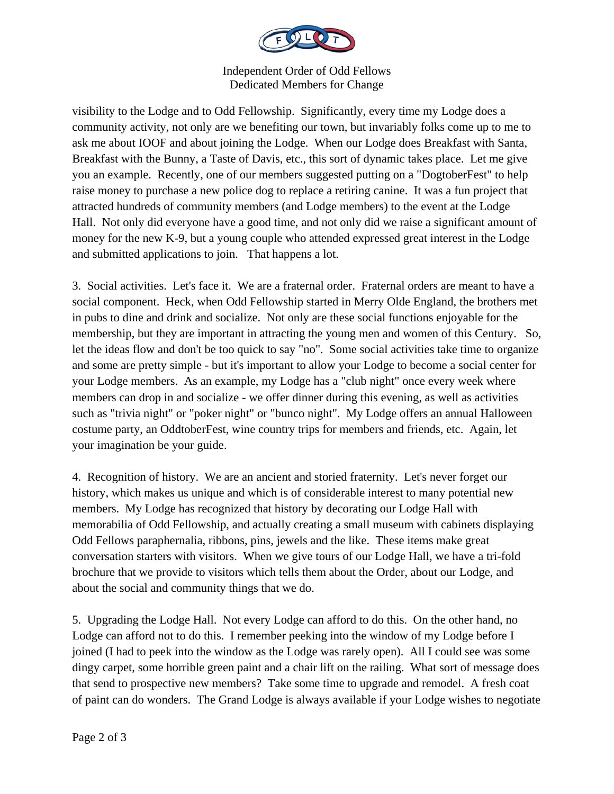

Independent Order of Odd Fellows Dedicated Members for Change

visibility to the Lodge and to Odd Fellowship. Significantly, every time my Lodge does a community activity, not only are we benefiting our town, but invariably folks come up to me to ask me about IOOF and about joining the Lodge. When our Lodge does Breakfast with Santa, Breakfast with the Bunny, a Taste of Davis, etc., this sort of dynamic takes place. Let me give you an example. Recently, one of our members suggested putting on a "DogtoberFest" to help raise money to purchase a new police dog to replace a retiring canine. It was a fun project that attracted hundreds of community members (and Lodge members) to the event at the Lodge Hall. Not only did everyone have a good time, and not only did we raise a significant amount of money for the new K-9, but a young couple who attended expressed great interest in the Lodge and submitted applications to join. That happens a lot.

3. Social activities. Let's face it. We are a fraternal order. Fraternal orders are meant to have a social component. Heck, when Odd Fellowship started in Merry Olde England, the brothers met in pubs to dine and drink and socialize. Not only are these social functions enjoyable for the membership, but they are important in attracting the young men and women of this Century. So, let the ideas flow and don't be too quick to say "no". Some social activities take time to organize and some are pretty simple - but it's important to allow your Lodge to become a social center for your Lodge members. As an example, my Lodge has a "club night" once every week where members can drop in and socialize - we offer dinner during this evening, as well as activities such as "trivia night" or "poker night" or "bunco night". My Lodge offers an annual Halloween costume party, an OddtoberFest, wine country trips for members and friends, etc. Again, let your imagination be your guide.

4. Recognition of history. We are an ancient and storied fraternity. Let's never forget our history, which makes us unique and which is of considerable interest to many potential new members. My Lodge has recognized that history by decorating our Lodge Hall with memorabilia of Odd Fellowship, and actually creating a small museum with cabinets displaying Odd Fellows paraphernalia, ribbons, pins, jewels and the like. These items make great conversation starters with visitors. When we give tours of our Lodge Hall, we have a tri-fold brochure that we provide to visitors which tells them about the Order, about our Lodge, and about the social and community things that we do.

5. Upgrading the Lodge Hall. Not every Lodge can afford to do this. On the other hand, no Lodge can afford not to do this. I remember peeking into the window of my Lodge before I joined (I had to peek into the window as the Lodge was rarely open). All I could see was some dingy carpet, some horrible green paint and a chair lift on the railing. What sort of message does that send to prospective new members? Take some time to upgrade and remodel. A fresh coat of paint can do wonders. The Grand Lodge is always available if your Lodge wishes to negotiate